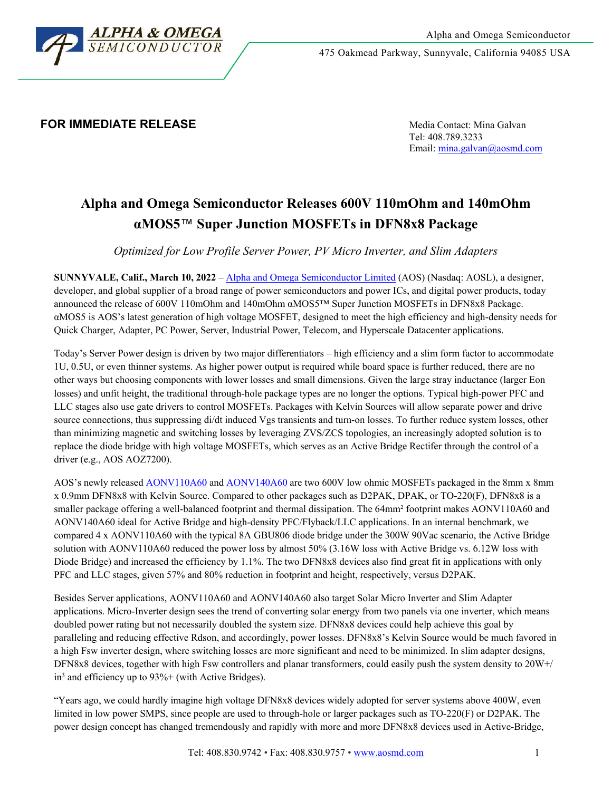

475 Oakmead Parkway, Sunnyvale, California 94085 USA

## **FOR IMMEDIATE RELEASE Media Contact: Mina Galvan**

Tel: 408.789.3233 Email[: mina.galvan@aosmd.com](mailto:mina.galvan@aosmd.com)

# **Alpha and Omega Semiconductor Releases 600V 110mOhm and 140mOhm αMOS5**™ **Super Junction MOSFETs in DFN8x8 Package**

*Optimized for Low Profile Server Power, PV Micro Inverter, and Slim Adapters*

**SUNNYVALE, Calif., March 10, 2022** – [Alpha and Omega Semiconductor Limited](http://www.aosmd.com/) (AOS) (Nasdaq: AOSL), a designer, developer, and global supplier of a broad range of power semiconductors and power ICs, and digital power products, today announced the release of 600V 110mOhm and 140mOhm αMOS5™ Super Junction MOSFETs in DFN8x8 Package. αMOS5 is AOS's latest generation of high voltage MOSFET, designed to meet the high efficiency and high-density needs for Quick Charger, Adapter, PC Power, Server, Industrial Power, Telecom, and Hyperscale Datacenter applications.

Today's Server Power design is driven by two major differentiators – high efficiency and a slim form factor to accommodate 1U, 0.5U, or even thinner systems. As higher power output is required while board space is further reduced, there are no other ways but choosing components with lower losses and small dimensions. Given the large stray inductance (larger Eon losses) and unfit height, the traditional through-hole package types are no longer the options. Typical high-power PFC and LLC stages also use gate drivers to control MOSFETs. Packages with Kelvin Sources will allow separate power and drive source connections, thus suppressing di/dt induced Vgs transients and turn-on losses. To further reduce system losses, other than minimizing magnetic and switching losses by leveraging ZVS/ZCS topologies, an increasingly adopted solution is to replace the diode bridge with high voltage MOSFETs, which serves as an Active Bridge Rectifer through the control of a driver (e.g., AOS AOZ7200).

AOS's newly released [AONV110A60](http://www.aosmd.com/res/data_sheets/AONV110A60.pdf) an[d AONV140A60](http://www.aosmd.com/res/data_sheets/AONV140A60.pdf) are two 600V low ohmic MOSFETs packaged in the 8mm x 8mm x 0.9mm DFN8x8 with Kelvin Source. Compared to other packages such as D2PAK, DPAK, or TO-220(F), DFN8x8 is a smaller package offering a well-balanced footprint and thermal dissipation. The 64mm² footprint makes AONV110A60 and AONV140A60 ideal for Active Bridge and high-density PFC/Flyback/LLC applications. In an internal benchmark, we compared 4 x AONV110A60 with the typical 8A GBU806 diode bridge under the 300W 90Vac scenario, the Active Bridge solution with AONV110A60 reduced the power loss by almost 50% (3.16W loss with Active Bridge vs. 6.12W loss with Diode Bridge) and increased the efficiency by 1.1%. The two DFN8x8 devices also find great fit in applications with only PFC and LLC stages, given 57% and 80% reduction in footprint and height, respectively, versus D2PAK.

Besides Server applications, AONV110A60 and AONV140A60 also target Solar Micro Inverter and Slim Adapter applications. Micro-Inverter design sees the trend of converting solar energy from two panels via one inverter, which means doubled power rating but not necessarily doubled the system size. DFN8x8 devices could help achieve this goal by paralleling and reducing effective Rdson, and accordingly, power losses. DFN8x8's Kelvin Source would be much favored in a high Fsw inverter design, where switching losses are more significant and need to be minimized. In slim adapter designs, DFN8x8 devices, together with high Fsw controllers and planar transformers, could easily push the system density to 20W+/  $in<sup>3</sup>$  and efficiency up to 93%+ (with Active Bridges).

"Years ago, we could hardly imagine high voltage DFN8x8 devices widely adopted for server systems above 400W, even limited in low power SMPS, since people are used to through-hole or larger packages such as TO-220(F) or D2PAK. The power design concept has changed tremendously and rapidly with more and more DFN8x8 devices used in Active-Bridge,